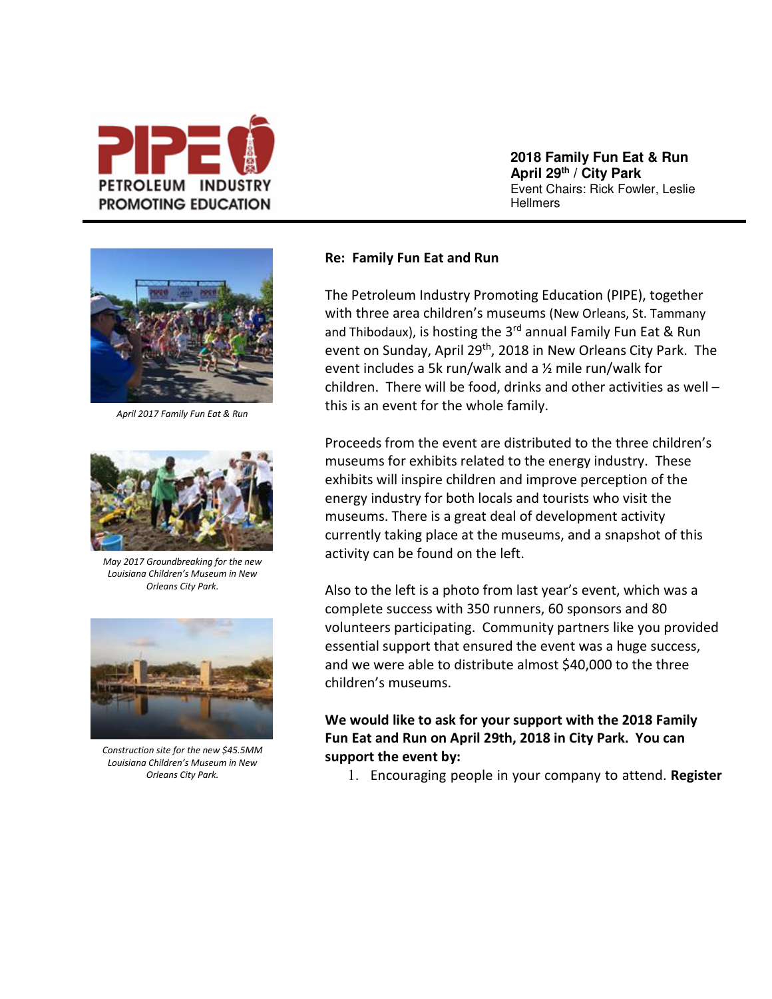

**2018 Family Fun Eat & Run April 29th / City Park** Event Chairs: Rick Fowler, Leslie **Hellmers** 



*April 2017 Family Fun Eat & Run*



*May 2017 Groundbreaking for the new Louisiana Children's Museum in New Orleans City Park.*



*Construction site for the new \$45.5MM Louisiana Children's Museum in New Orleans City Park.*

## **Re: Family Fun Eat and Run**

The Petroleum Industry Promoting Education (PIPE), together with three area children's museums (New Orleans, St. Tammany and Thibodaux), is hosting the 3<sup>rd</sup> annual Family Fun Eat & Run event on Sunday, April 29<sup>th</sup>, 2018 in New Orleans City Park. The event includes a 5k run/walk and a ½ mile run/walk for children. There will be food, drinks and other activities as well – this is an event for the whole family.

Proceeds from the event are distributed to the three children's museums for exhibits related to the energy industry. These exhibits will inspire children and improve perception of the energy industry for both locals and tourists who visit the museums. There is a great deal of development activity currently taking place at the museums, and a snapshot of this activity can be found on the left.

Also to the left is a photo from last year's event, which was a complete success with 350 runners, 60 sponsors and 80 volunteers participating. Community partners like you provided essential support that ensured the event was a huge success, and we were able to distribute almost \$40,000 to the three children's museums.

## **We would like to ask for your support with the 2018 Family Fun Eat and Run on April 29th, 2018 in City Park. You can support the event by:**

1. Encouraging people in your company to attend. **Register**